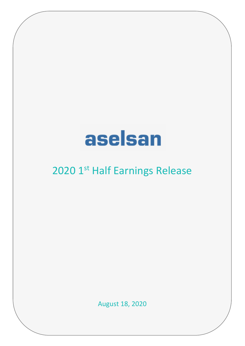# aselsan

# 2020 1st Half Earnings Release

August 18, 2020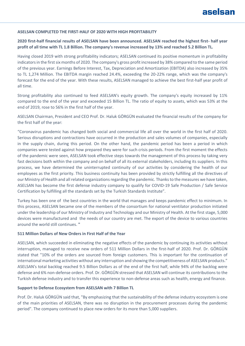

#### **ASELSAN COMPLETED THE FIRST-HALF OF 2020 WITH HIGH PROFITABILITY**

### **2020 first-half financial results of ASELSAN have been announced. ASELSAN reached the highest first- half year profit of all time with TL 1.8 Billion. The company's revenue increased by 13% and reached 5.2 Billion TL.**

Having closed 2019 with strong profitability indicators; ASELSAN continued its positive momentum in profitability indicators in the first six months of 2020. The company's gross profit increased by 38% compared to the same period of the previous year. Earnings Before Interest, Tax, Depreciation and Amortization (EBITDA) also increased by 35% to TL 1,274 Million. The EBITDA margin reached 24.4%, exceeding the 20-22% range, which was the company's forecast for the end of the year. With these results, ASELSAN managed to achieve the best first-half year profit of all time.

Strong profitability also continued to feed ASELSAN's equity growth. The company's equity increased by 11% compared to the end of the year and exceeded 15 Billion TL. The ratio of equity to assets, which was 53% at the end of 2019, rose to 56% in the first half of the year.

ASELSAN Chairman, President and CEO Prof. Dr. Haluk GÖRGÜN evaluated the financial results of the company for the first half of the year:

"Coronavirus pandemic has changed both social and commercial life all over the world in the first half of 2020. Serious disruptions and contractions have occurred in the production and sales volumes of companies, especially in the supply chain, during this period. On the other hand, the pandemic period has been a period in which companies were tested against how prepared they were for such crisis periods. From the first moment the effects of the pandemic were seen, ASELSAN took effective steps towards the management of this process by taking very fast decisions both within the company and on behalf of all its external stakeholders, including its suppliers. In this process, we have determined the uninterrupted continuity of our activities by considering the health of our employees as the first priority. This business continuity has been provided by strictly fulfilling all the directives of our Ministry of Health and all related organizations regarding the pandemic. Thanks to the measures we have taken, ASELSAN has become the first defense industry company to qualify for COVID-19 Safe Production / Safe Service Certification by fulfilling all the standards set by the Turkish Standards Institute".

Turkey has been one of the best countries in the world that manages and keeps pandemic effect to minimum. In this process, ASELSAN became one of the members of the consortium for national ventilator production initiated under the leadership of our Ministry of Industry and Technology and our Ministry of Health. At the first stage, 5,000 devices were manufactured and the needs of our country are met. The export of the device to various countries around the world still continues. **"**

### **511 Million Dollars of New Orders in First Half of the Year**

ASELSAN, which succeeded in eliminating the negative effects of the pandemic by continuing its activities without interruption, managed to receive new orders of 511 Million Dollars in the first-half of 2020. Prof. Dr. GÖRGÜN stated that "10% of the orders are sourced from foreign customers. This is important for the continuation of international marketing activities without any interruption and showing the competitiveness of ASELSAN products." ASELSAN's total backlog reached 9.5 Billion Dollars as of the end of the first half, while 94% of the backlog were defense and 6% non-defense orders. Prof. Dr. GÖRGÜN stressed that ASELSAN will continue its contributions to the Turkish defense industry and to transfer this experience to non-defense areas such as health, energy and finance.

#### **Support to Defense Ecosystem from ASELSAN with 7 Billion TL**

Prof. Dr. Haluk GÖRGÜN said that, "By emphasizing that the sustainability of the defense industry ecosystem is one of the main priorities of ASELSAN, there was no disruption in the procurement processes during the pandemic period". The company continued to place new orders for its more than 5,000 suppliers.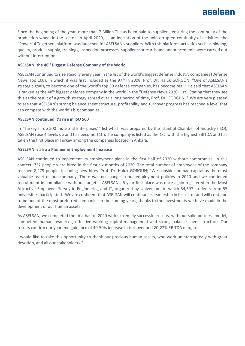

Since the beginning of the year, more than 7 Billion TL has been paid to suppliers, ensuring the continuity of the production wheel in the sector. In April 2020, as an indication of the uninterrupted continuity of activities, the "Powerful Together" platform was launched for ASELSAN's suppliers. With this platform, activities such as bidding, quality, product supply, trainings, inspection processes, supplier scorecards and announcements were carried out without interruption.

### **ASELSAN, the 48th Biggest Defense Company of the World**

ASELSAN continued to rise steadily every year in the list of the world's biggest defense industry companies (Defense News Top 100), in which it was first included as the 97<sup>th</sup> in 2008. Prof. Dr. Haluk GÖRGÜN; "One of ASELSAN's strategic goals, to become one of the world's top 50 defense companies, has become real." He said that ASELSAN is ranked as the 48<sup>th</sup> biggest defense company in the world in the "Defense News 2020" list. Stating that they see this as the result of a growth strategy spread over a long period of time, Prof. Dr. GÖRGÜN; " We are very pleased to see that ASELSAN's strong balance sheet structure, profitability and turnover progress has reached a level that can compete with the world's big companies."

### **ASELSAN continued it's rise in ISO 500**

In "Turkey's Top 500 Industrial Enterprises"" list which was prepared by the Istanbul Chamber of Industry (ISO), ASELSAN rose 4 levels up and has become 11th.The company is listed as the 1st with the highest EBITDA and has taken the first place in Turkey among the companies located in Ankara.

### **ASELSAN is also a Pioneer in Employment Increase**

ASELSAN continued to implement its employment plans in the first half of 2020 without compromise. In this context, 732 people were hired in the first six months of 2020. The total number of employees of the company reached 8,279 people, including new hires. Prof. Dr. Haluk GÖRGÜN; "We consider human capital as the most valuable asset of our company. There was no change in our employment policies in 2020 and we continued recruitment in compliance with our targets. ASELSAN's 6-year first place was once again registered in the Most Attractive Employers Survey in Engineering and IT, organized by Universum, in which 54,597 students from 55 universities participated. We are confident that ASELSAN will continue its leadership in its sector and will continue to be one of the most preferred companies in the coming years, thanks to the investments we have made in the development of our human assets.

As ASELSAN, we completed the first half of 2020 with extremely successful results, with our solid business model, competent human resources, effective working capital management and strong balance sheet structure. Our results confirm our year end guidance of 40-50% increase in turnover and 20-22% EBITDA margin.

I would like to take this opportunity to thank our precious human assets, who work uninterruptedly with great devotion, and all our stakeholders."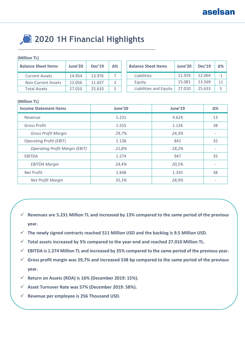# **2020 1H Financial Highlights**

### **(Million TL)**

| <b>Balance Sheet Items</b> | June'20 | <b>Dec'19</b> | ለ% |
|----------------------------|---------|---------------|----|
| <b>Current Assets</b>      | 14.954  | 13.976        |    |
| <b>Non-Current Assets</b>  | 12.056  | 11.657        | 3  |
| <b>Total Assets</b>        | 27.010  | 25.633        |    |

| <b>Balance Sheet Items</b> | June'20 | <b>Dec'19</b> | ለ%   |
|----------------------------|---------|---------------|------|
| Liabilities                | 11.929  | 12.064        | $-1$ |
| Equity                     | 15.081  | 13.569        | 11   |
| Liabilities and Equity     | 27.010  | 25.633        | 5    |

### **(Million TL)**

| <b>Income Statement Items</b>         | June'20 | June'19 | Δ%                       |
|---------------------------------------|---------|---------|--------------------------|
| Revenue                               | 5.231   | 4.624   | 13                       |
| <b>Gross Profit</b>                   | 1.555   | 1.126   | 38                       |
| <b>Gross Profit Margin</b>            | 29,7%   | 24,3%   | $\overline{\phantom{a}}$ |
| <b>Operating Profit (EBIT)</b>        | 1.138   | 841     | 35                       |
| <b>Operating Profit Margin (EBIT)</b> | 21,8%   | 18,2%   | $\overline{\phantom{a}}$ |
| <b>EBITDA</b>                         | 1.274   | 947     | 35                       |
| <b>EBITDA Margin</b>                  | 24,4%   | 20,5%   |                          |
| <b>Net Profit</b>                     | 1.848   | 1.335   | 38                       |
| Net Profit Margin                     | 35,3%   | 28,9%   |                          |

- **Revenues are 5.231 Million TL and increased by 13% compared to the same period of the previous year.**
- **The newly signed contracts reached 511 Million USD and the backlog is 9.5 Million USD.**
- **Total assets increased by 5% compared to the year-end and reached 27.010 Million TL.**
- **EBITDA is 1.274 Million TL and increased by 35% compared to the same period of the previous year.**
- **Gross profit margin was 29,7% and increased 538 bp compared to the same period of the previous year.**
- **Return on Assets (ROA) is 16% (December 2019: 15%).**
- **Asset Turnover Rate was 57% (December 2019: 58%).**
- **Revenue per employee is 256 Thousand USD.**